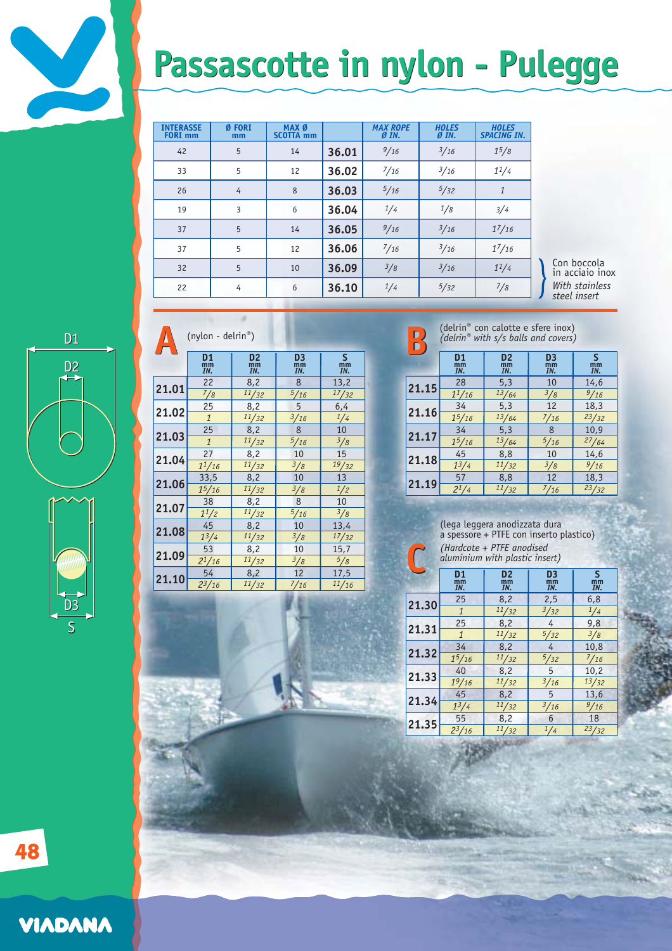## **Passascotte in nylon - Pulegge Passascotte in nylon - Pulegge**

| <b>INTERASSE</b><br><b>FORI</b> mm | Ø FORI<br>mm | MAX Ø<br><b>SCOTTA mm</b> |       | <b>MAX ROPE</b><br>ØIN. | <b>HOLES</b><br>ØIN. | <b>HOLES</b><br><b>SPACING IN.</b> |
|------------------------------------|--------------|---------------------------|-------|-------------------------|----------------------|------------------------------------|
| 42                                 | 5            | 14                        | 36.01 | 9/16                    | 3/16                 | $1^{5}/8$                          |
| 33                                 | 5            | 12                        | 36.02 | $^{7/16}$               | 3/16                 | 11/4                               |
| 26                                 | 4            | 8                         | 36.03 | 5/16                    | 5/32                 | $\mathbf{1}$                       |
| 19                                 | 3            | 6                         | 36.04 | 1/4                     | 1/8                  | 3/4                                |
| 37                                 | 5            | 14                        | 36.05 | 9/16                    | 3/16                 | $1^{7}/16$                         |
| 37                                 | 5            | 12                        | 36.06 | 7/16                    | 3/16                 | $1^{7/16}$                         |
| 32                                 | 5            | 10                        | 36.09 | 3/8                     | 3/16                 | 11/4                               |
| 22                                 | 4            | 6                         | 36.10 | 1/4                     | 5/32                 | $^{7/8}$                           |

Con boccola in acciaio inox *With stainless steel insert*



V

|  | (nylon - delrin <sup>®</sup> ) |                                   |                                   |                                   |                                 |                                                             | D<br>D |                             | (delrin® with $s/s$ balls and covers) | (delrin® con calotte e sfere inox) |  |
|--|--------------------------------|-----------------------------------|-----------------------------------|-----------------------------------|---------------------------------|-------------------------------------------------------------|--------|-----------------------------|---------------------------------------|------------------------------------|--|
|  |                                | D <sub>1</sub><br>$\frac{mm}{IN}$ | D <sub>2</sub><br>$\frac{mm}{IN}$ | D <sub>3</sub><br>$\frac{mm}{IN}$ | $\mathsf{S}$<br>$\frac{mm}{IN}$ |                                                             |        | D <sub>1</sub><br>mm<br>IN. | D <sub>2</sub><br>mm<br>IN.           | D <sub>3</sub><br>mm<br>IN.        |  |
|  |                                | 22                                | 8,2                               | 8                                 | 13,2                            |                                                             |        | 28                          | 5,3                                   | 10                                 |  |
|  | 21.01                          | $^{7/8}$                          | 11/32                             | 5/16                              | 17/32                           |                                                             | 21.15  | $1^{1/16}$                  | 13/64                                 | 3/8                                |  |
|  | 21.02                          | 25                                | 8,2                               | 5                                 | 6,4                             |                                                             | 21.16  | 34                          | 5,3                                   | 12                                 |  |
|  |                                | $\mathbf{1}$                      | 11/32                             | 3/16                              | 1/4                             |                                                             |        | $1^{5}/16$                  | 13/64                                 | 7/16                               |  |
|  | 21.03                          | 25                                | 8,2                               | 8                                 | 10                              |                                                             | 21.17  | 34                          | 5,3                                   | 8                                  |  |
|  |                                | $\mathbf{1}$                      | 11/32                             | 5/16                              | $\frac{3}{8}$                   |                                                             |        | 15/16                       | 13/64                                 | 5/16                               |  |
|  | 21.04                          | 27                                | 8,2                               | 10                                | 15                              |                                                             | 21.18  | 45                          | 8,8                                   | 10                                 |  |
|  |                                | $1^{1/16}$                        | 11/32                             | 3/8                               | 19/32                           |                                                             |        | $1^3/4$                     | 11/32                                 | 3/8                                |  |
|  | 21.06                          | 33,5                              | 8,2                               | 10                                | 13                              |                                                             | 21.19  | 57                          | 8,8                                   | 12                                 |  |
|  |                                | $1^{5}/16$                        | 11/32                             | 3/8                               | 1/2                             |                                                             |        | $2^{1/4}$                   | 11/32                                 | $^{7/16}$                          |  |
|  | 21.07                          | 38                                | 8,2                               | 8                                 | 10                              |                                                             |        |                             |                                       |                                    |  |
|  |                                | $1^{1/2}$                         | 11/32                             | $\frac{5}{16}$                    | 3/8                             |                                                             |        |                             |                                       |                                    |  |
|  | 21.08                          | 45                                | 8,2                               | 10                                | 13,4                            |                                                             |        |                             | (lega leggera anodizzata dura         |                                    |  |
|  |                                | $1^{3}/4$                         | 11/32                             | 3/8                               | 17/32                           |                                                             |        |                             | a spessore + PTFE con inserto plas    |                                    |  |
|  | 21.09                          | 53                                | 8,2                               | 10                                | 15,7                            | (Hardcote + PTFE anodised<br>aluminium with plastic insert) |        |                             |                                       |                                    |  |
|  |                                | $2^{1}/16$                        | 11/32                             | 3/8                               | 5/8                             |                                                             |        |                             |                                       |                                    |  |
|  | 21.10                          | 54                                | 8,2                               | 12                                | 17,5                            |                                                             |        | D <sub>1</sub>              | D <sub>2</sub>                        | D <sub>3</sub>                     |  |
|  |                                | $2^{3}/16$                        | 11/32                             | 7/16                              | 11/16                           |                                                             |        | mm<br>IN.                   | mm<br>IN.                             | mm<br>IN.                          |  |

*(delrin® with s/s balls and covers)*

|       | <b>D1</b><br>mm<br>IN. | D <sub>2</sub><br>mm<br>IN. | D <sub>3</sub><br>mm<br>IN. | S<br>mm<br>IN. |
|-------|------------------------|-----------------------------|-----------------------------|----------------|
|       | 28                     | 5,3                         | 10                          | 14,6           |
| 21.15 | $1^{1/16}$             | 13/64                       | 3/8                         | 9/16           |
| 21.16 | 34                     | 5,3                         | 12                          | 18,3           |
|       | $1^{5}/16$             | 13/64                       | $^{7/16}$                   | 23/32          |
|       | 34                     | 5,3                         | 8                           | 10,9           |
| 21.17 | $1^{5}/16$             | 13/64                       | 5/16                        | 27/64          |
| 21.18 | 45                     | 8,8                         | 10                          | 14,6           |
|       | $1^3/4$                | 11/32                       | 3/8                         | 9/16           |
| 21.19 | 57                     | 8,8                         | 12                          | 18,3           |
|       | $2^{1/4}$              | 11/32                       | 7/16                        | 23/32          |

(lega leggera anodizzata dura a spessore + PTFE con inserto plastico) *(Hardcote + PTFE anodised aluminium with plastic insert)* **C**

|       | (Hardcote + PTFE anodised<br>aluminium with plastic insert) |                                   |                       |                |  |  |
|-------|-------------------------------------------------------------|-----------------------------------|-----------------------|----------------|--|--|
|       | D <sub>1</sub><br>$\frac{mm}{IN}$                           | D <sub>2</sub><br>$\frac{mm}{IN}$ | D3<br>$\frac{mm}{IN}$ | S<br>mm<br>IN. |  |  |
| 21.30 | 25                                                          | 8,2                               | 2,5                   | 6, 8           |  |  |
|       | $\mathbf{1}$                                                | 11/32                             | 3/32                  | 1/4            |  |  |
| 21.31 | 25                                                          | 8,2                               | 4                     | 9,8            |  |  |
|       | $\overline{1}$                                              | 11/32                             | 5/32                  | 3/8            |  |  |
| 21.32 | 34                                                          | 8,2                               | 4                     | 10,8           |  |  |
|       | $1^{5}/16$                                                  | 11/32                             | 5/32                  | $^{7}/_{16}$   |  |  |
| 21.33 | 40                                                          | 8,2                               | 5                     | 10,2           |  |  |
|       | 19/16                                                       | 11/32                             | 3/16                  | 13/32          |  |  |
| 21.34 | 45                                                          | 8,2                               | 5                     | 13,6           |  |  |
|       | $1^{3}/4$                                                   | 11/32                             | 3/16                  | 9/16           |  |  |
|       | 55                                                          | 8,2                               | 6                     | 18             |  |  |
| 21.35 | $2^3/16$                                                    | 11/32                             | 1/4                   | 23/32          |  |  |

**48**